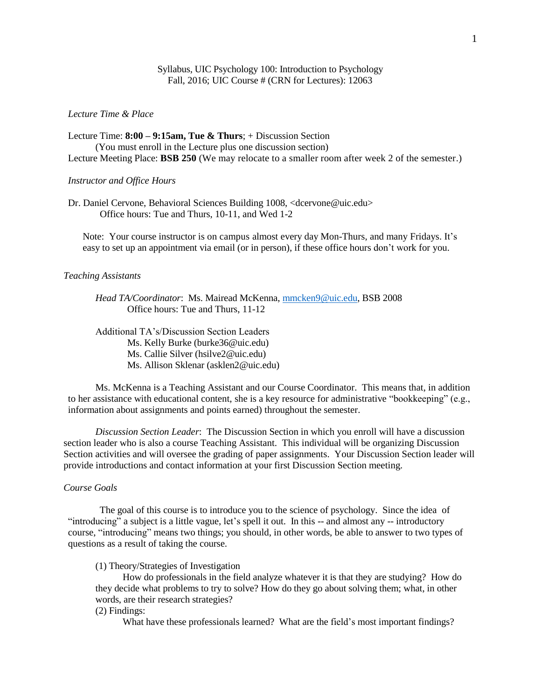### Syllabus, UIC Psychology 100: Introduction to Psychology Fall, 2016; UIC Course # (CRN for Lectures): 12063

### *Lecture Time & Place*

Lecture Time: **8:00 – 9:15am, Tue & Thurs**; + Discussion Section (You must enroll in the Lecture plus one discussion section) Lecture Meeting Place: **BSB 250** (We may relocate to a smaller room after week 2 of the semester.)

### *Instructor and Office Hours*

Dr. Daniel Cervone, Behavioral Sciences Building 1008, [<dcervone@uic.edu>](mailto:dcervone@uic.edu) Office hours: Tue and Thurs, 10-11, and Wed 1-2

Note: Your course instructor is on campus almost every day Mon-Thurs, and many Fridays. It's easy to set up an appointment via email (or in person), if these office hours don't work for you.

#### *Teaching Assistants*

*Head TA/Coordinator*: Ms. Mairead McKenna[, mmcken9@uic.edu,](mailto:mmcken9@uic.edu) BSB 2008 Office hours: Tue and Thurs, 11-12

Additional TA's/Discussion Section Leaders Ms. Kelly Burke (burke36@uic.edu) Ms. Callie Silver (hsilve2@uic.edu) Ms. Allison Sklenar (asklen2@uic.edu)

Ms. McKenna is a Teaching Assistant and our Course Coordinator. This means that, in addition to her assistance with educational content, she is a key resource for administrative "bookkeeping" (e.g., information about assignments and points earned) throughout the semester.

*Discussion Section Leader*: The Discussion Section in which you enroll will have a discussion section leader who is also a course Teaching Assistant. This individual will be organizing Discussion Section activities and will oversee the grading of paper assignments. Your Discussion Section leader will provide introductions and contact information at your first Discussion Section meeting.

### *Course Goals*

The goal of this course is to introduce you to the science of psychology. Since the idea of "introducing" a subject is a little vague, let's spell it out. In this -- and almost any -- introductory course, "introducing" means two things; you should, in other words, be able to answer to two types of questions as a result of taking the course.

(1) Theory/Strategies of Investigation

How do professionals in the field analyze whatever it is that they are studying? How do they decide what problems to try to solve? How do they go about solving them; what, in other words, are their research strategies?

### (2) Findings:

What have these professionals learned? What are the field's most important findings?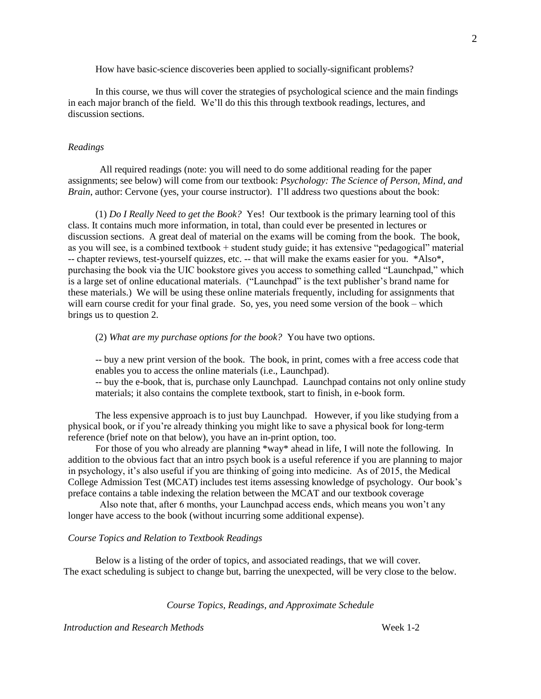How have basic-science discoveries been applied to socially-significant problems?

In this course, we thus will cover the strategies of psychological science and the main findings in each major branch of the field. We'll do this this through textbook readings, lectures, and discussion sections.

### *Readings*

All required readings (note: you will need to do some additional reading for the paper assignments; see below) will come from our textbook: *Psychology: The Science of Person, Mind, and Brain*, author: Cervone (yes, your course instructor). I'll address two questions about the book:

(1) *Do I Really Need to get the Book?* Yes! Our textbook is the primary learning tool of this class. It contains much more information, in total, than could ever be presented in lectures or discussion sections. A great deal of material on the exams will be coming from the book. The book, as you will see, is a combined textbook + student study guide; it has extensive "pedagogical" material -- chapter reviews, test-yourself quizzes, etc. -- that will make the exams easier for you. \*Also\*, purchasing the book via the UIC bookstore gives you access to something called "Launchpad," which is a large set of online educational materials. ("Launchpad" is the text publisher's brand name for these materials.) We will be using these online materials frequently, including for assignments that will earn course credit for your final grade. So, yes, you need some version of the book – which brings us to question 2.

(2) *What are my purchase options for the book?* You have two options.

-- buy a new print version of the book. The book, in print, comes with a free access code that enables you to access the online materials (i.e., Launchpad).

-- buy the e-book, that is, purchase only Launchpad. Launchpad contains not only online study materials; it also contains the complete textbook, start to finish, in e-book form.

The less expensive approach is to just buy Launchpad. However, if you like studying from a physical book, or if you're already thinking you might like to save a physical book for long-term reference (brief note on that below), you have an in-print option, too.

For those of you who already are planning \*way\* ahead in life, I will note the following. In addition to the obvious fact that an intro psych book is a useful reference if you are planning to major in psychology, it's also useful if you are thinking of going into medicine. As of 2015, the Medical College Admission Test (MCAT) includes test items assessing knowledge of psychology. Our book's preface contains a table indexing the relation between the MCAT and our textbook coverage

Also note that, after 6 months, your Launchpad access ends, which means you won't any longer have access to the book (without incurring some additional expense).

### *Course Topics and Relation to Textbook Readings*

Below is a listing of the order of topics, and associated readings, that we will cover. The exact scheduling is subject to change but, barring the unexpected, will be very close to the below.

*Course Topics, Readings, and Approximate Schedule*

*Introduction and Research Methods* Week 1-2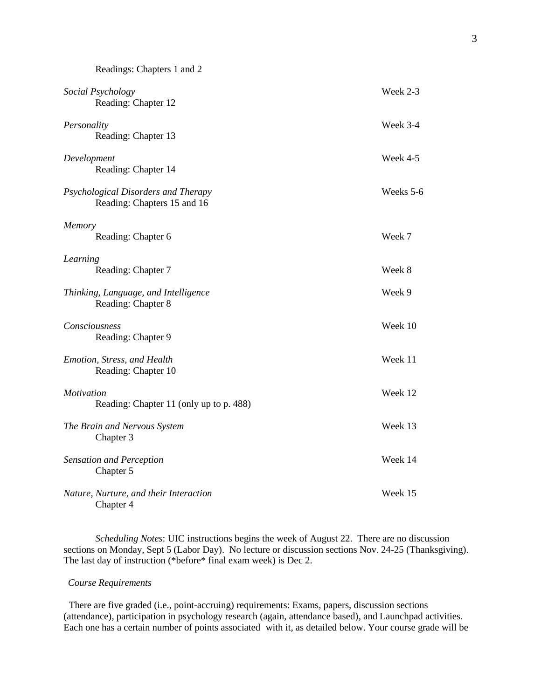| Readings: Chapters 1 and 2                                         |           |
|--------------------------------------------------------------------|-----------|
| Social Psychology<br>Reading: Chapter 12                           | Week 2-3  |
| Personality<br>Reading: Chapter 13                                 | Week 3-4  |
| Development<br>Reading: Chapter 14                                 | Week 4-5  |
| Psychological Disorders and Therapy<br>Reading: Chapters 15 and 16 | Weeks 5-6 |
| Memory<br>Reading: Chapter 6                                       | Week 7    |
| Learning<br>Reading: Chapter 7                                     | Week 8    |
| Thinking, Language, and Intelligence<br>Reading: Chapter 8         | Week 9    |
| Consciousness<br>Reading: Chapter 9                                | Week 10   |
| Emotion, Stress, and Health<br>Reading: Chapter 10                 | Week 11   |
| Motivation<br>Reading: Chapter 11 (only up to p. 488)              | Week 12   |
| The Brain and Nervous System<br>Chapter 3                          | Week 13   |
| <b>Sensation and Perception</b><br>Chapter 5                       | Week 14   |
| Nature, Nurture, and their Interaction<br>Chapter 4                | Week 15   |

*Scheduling Notes*: UIC instructions begins the week of August 22. There are no discussion sections on Monday, Sept 5 (Labor Day). No lecture or discussion sections Nov. 24-25 (Thanksgiving). The last day of instruction (\*before\* final exam week) is Dec 2.

# *Course Requirements*

There are five graded (i.e., point-accruing) requirements: Exams, papers, discussion sections (attendance), participation in psychology research (again, attendance based), and Launchpad activities. Each one has a certain number of points associated with it, as detailed below. Your course grade will be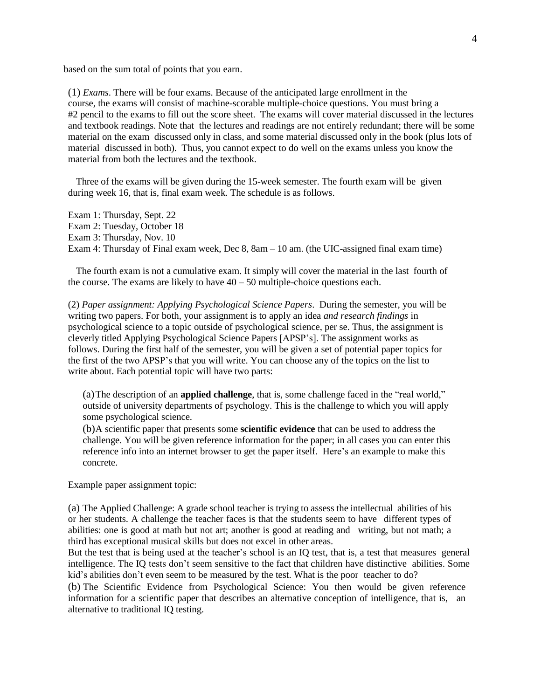based on the sum total of points that you earn.

(1) *Exams*. There will be four exams. Because of the anticipated large enrollment in the course, the exams will consist of machine-scorable multiple-choice questions. You must bring a #2 pencil to the exams to fill out the score sheet. The exams will cover material discussed in the lectures and textbook readings. Note that the lectures and readings are not entirely redundant; there will be some material on the exam discussed only in class, and some material discussed only in the book (plus lots of material discussed in both). Thus, you cannot expect to do well on the exams unless you know the material from both the lectures and the textbook.

Three of the exams will be given during the 15-week semester. The fourth exam will be given during week 16, that is, final exam week. The schedule is as follows.

Exam 1: Thursday, Sept. 22 Exam 2: Tuesday, October 18 Exam 3: Thursday, Nov. 10 Exam 4: Thursday of Final exam week, Dec 8, 8am – 10 am. (the UIC-assigned final exam time)

The fourth exam is not a cumulative exam. It simply will cover the material in the last fourth of the course. The exams are likely to have  $40 - 50$  multiple-choice questions each.

(2) *Paper assignment: Applying Psychological Science Papers*. During the semester, you will be writing two papers. For both, your assignment is to apply an idea *and research findings* in psychological science to a topic outside of psychological science, per se. Thus, the assignment is cleverly titled Applying Psychological Science Papers [APSP's]. The assignment works as follows. During the first half of the semester, you will be given a set of potential paper topics for the first of the two APSP's that you will write. You can choose any of the topics on the list to write about. Each potential topic will have two parts:

(a)The description of an **applied challenge**, that is, some challenge faced in the "real world," outside of university departments of psychology. This is the challenge to which you will apply some psychological science.

(b)A scientific paper that presents some **scientific evidence** that can be used to address the challenge. You will be given reference information for the paper; in all cases you can enter this reference info into an internet browser to get the paper itself. Here's an example to make this concrete.

Example paper assignment topic:

(a) The Applied Challenge: A grade school teacher is trying to assess the intellectual abilities of his or her students. A challenge the teacher faces is that the students seem to have different types of abilities: one is good at math but not art; another is good at reading and writing, but not math; a third has exceptional musical skills but does not excel in other areas.

But the test that is being used at the teacher's school is an IQ test, that is, a test that measures general intelligence. The IQ tests don't seem sensitive to the fact that children have distinctive abilities. Some kid's abilities don't even seem to be measured by the test. What is the poor teacher to do?

(b) The Scientific Evidence from Psychological Science: You then would be given reference information for a scientific paper that describes an alternative conception of intelligence, that is, an alternative to traditional IQ testing.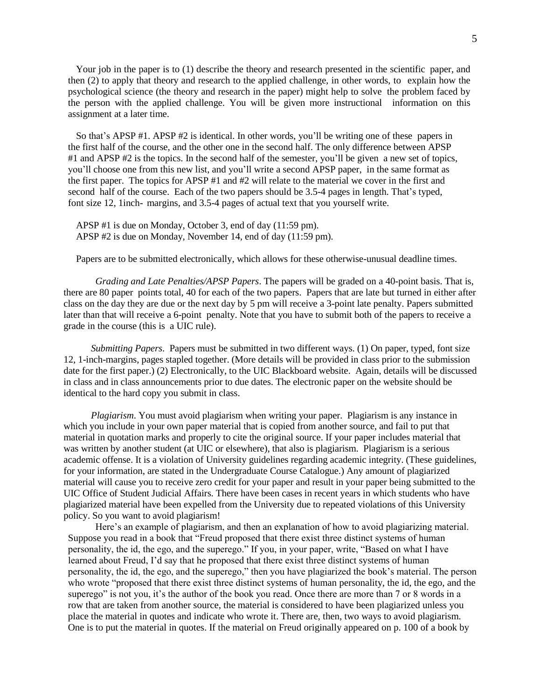Your job in the paper is to (1) describe the theory and research presented in the scientific paper, and then (2) to apply that theory and research to the applied challenge, in other words, to explain how the psychological science (the theory and research in the paper) might help to solve the problem faced by the person with the applied challenge. You will be given more instructional information on this assignment at a later time.

So that's APSP #1. APSP #2 is identical. In other words, you'll be writing one of these papers in the first half of the course, and the other one in the second half. The only difference between APSP #1 and APSP #2 is the topics. In the second half of the semester, you'll be given a new set of topics, you'll choose one from this new list, and you'll write a second APSP paper, in the same format as the first paper. The topics for APSP #1 and #2 will relate to the material we cover in the first and second half of the course. Each of the two papers should be 3.5-4 pages in length. That's typed, font size 12, 1inch- margins, and 3.5-4 pages of actual text that you yourself write.

APSP #1 is due on Monday, October 3, end of day (11:59 pm). APSP #2 is due on Monday, November 14, end of day (11:59 pm).

Papers are to be submitted electronically, which allows for these otherwise-unusual deadline times.

*Grading and Late Penalties/APSP Papers*. The papers will be graded on a 40-point basis. That is, there are 80 paper points total, 40 for each of the two papers. Papers that are late but turned in either after class on the day they are due or the next day by 5 pm will receive a 3-point late penalty. Papers submitted later than that will receive a 6-point penalty. Note that you have to submit both of the papers to receive a grade in the course (this is a UIC rule).

*Submitting Papers*. Papers must be submitted in two different ways. (1) On paper, typed, font size 12, 1-inch-margins, pages stapled together. (More details will be provided in class prior to the submission date for the first paper.) (2) Electronically, to the UIC Blackboard website. Again, details will be discussed in class and in class announcements prior to due dates. The electronic paper on the website should be identical to the hard copy you submit in class.

*Plagiarism*. You must avoid plagiarism when writing your paper. Plagiarism is any instance in which you include in your own paper material that is copied from another source, and fail to put that material in quotation marks and properly to cite the original source. If your paper includes material that was written by another student (at UIC or elsewhere), that also is plagiarism. Plagiarism is a serious academic offense. It is a violation of University guidelines regarding academic integrity. (These guidelines, for your information, are stated in the Undergraduate Course Catalogue.) Any amount of plagiarized material will cause you to receive zero credit for your paper and result in your paper being submitted to the UIC Office of Student Judicial Affairs. There have been cases in recent years in which students who have plagiarized material have been expelled from the University due to repeated violations of this University policy. So you want to avoid plagiarism!

Here's an example of plagiarism, and then an explanation of how to avoid plagiarizing material. Suppose you read in a book that "Freud proposed that there exist three distinct systems of human personality, the id, the ego, and the superego." If you, in your paper, write, "Based on what I have learned about Freud, I'd say that he proposed that there exist three distinct systems of human personality, the id, the ego, and the superego," then you have plagiarized the book's material. The person who wrote "proposed that there exist three distinct systems of human personality, the id, the ego, and the superego" is not you, it's the author of the book you read. Once there are more than 7 or 8 words in a row that are taken from another source, the material is considered to have been plagiarized unless you place the material in quotes and indicate who wrote it. There are, then, two ways to avoid plagiarism. One is to put the material in quotes. If the material on Freud originally appeared on p. 100 of a book by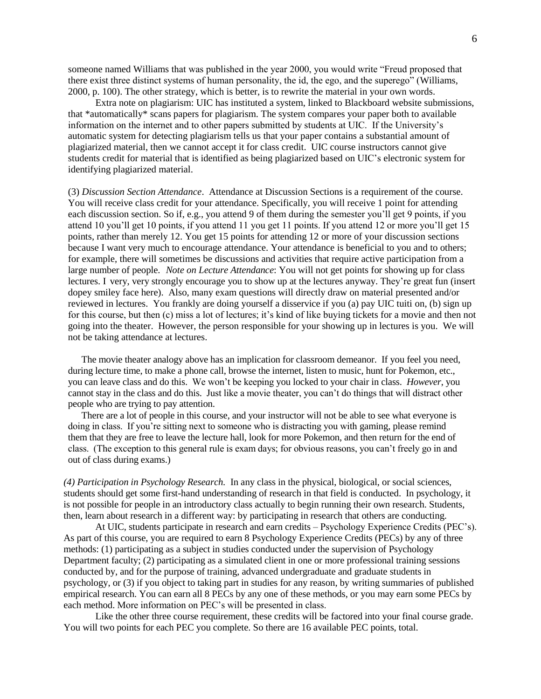someone named Williams that was published in the year 2000, you would write "Freud proposed that there exist three distinct systems of human personality, the id, the ego, and the superego" (Williams, 2000, p. 100). The other strategy, which is better, is to rewrite the material in your own words.

Extra note on plagiarism: UIC has instituted a system, linked to Blackboard website submissions, that \*automatically\* scans papers for plagiarism. The system compares your paper both to available information on the internet and to other papers submitted by students at UIC. If the University's automatic system for detecting plagiarism tells us that your paper contains a substantial amount of plagiarized material, then we cannot accept it for class credit. UIC course instructors cannot give students credit for material that is identified as being plagiarized based on UIC's electronic system for identifying plagiarized material.

(3) *Discussion Section Attendance*. Attendance at Discussion Sections is a requirement of the course. You will receive class credit for your attendance. Specifically, you will receive 1 point for attending each discussion section. So if, e.g., you attend 9 of them during the semester you'll get 9 points, if you attend 10 you'll get 10 points, if you attend 11 you get 11 points. If you attend 12 or more you'll get 15 points, rather than merely 12. You get 15 points for attending 12 or more of your discussion sections because I want very much to encourage attendance. Your attendance is beneficial to you and to others; for example, there will sometimes be discussions and activities that require active participation from a large number of people. *Note on Lecture Attendance*: You will not get points for showing up for class lectures. I very, very strongly encourage you to show up at the lectures anyway. They're great fun (insert dopey smiley face here). Also, many exam questions will directly draw on material presented and/or reviewed in lectures. You frankly are doing yourself a disservice if you (a) pay UIC tuiti on, (b) sign up for this course, but then (c) miss a lot of lectures; it's kind of like buying tickets for a movie and then not going into the theater. However, the person responsible for your showing up in lectures is you. We will not be taking attendance at lectures.

The movie theater analogy above has an implication for classroom demeanor. If you feel you need, during lecture time, to make a phone call, browse the internet, listen to music, hunt for Pokemon, etc., you can leave class and do this. We won't be keeping you locked to your chair in class. *However*, you cannot stay in the class and do this. Just like a movie theater, you can't do things that will distract other people who are trying to pay attention.

There are a lot of people in this course, and your instructor will not be able to see what everyone is doing in class. If you're sitting next to someone who is distracting you with gaming, please remind them that they are free to leave the lecture hall, look for more Pokemon, and then return for the end of class. (The exception to this general rule is exam days; for obvious reasons, you can't freely go in and out of class during exams.)

*(4) Participation in Psychology Research.* In any class in the physical, biological, or social sciences, students should get some first-hand understanding of research in that field is conducted. In psychology, it is not possible for people in an introductory class actually to begin running their own research. Students, then, learn about research in a different way: by participating in research that others are conducting.

At UIC, students participate in research and earn credits – Psychology Experience Credits (PEC's). As part of this course, you are required to earn 8 Psychology Experience Credits (PECs) by any of three methods: (1) participating as a subject in studies conducted under the supervision of Psychology Department faculty; (2) participating as a simulated client in one or more professional training sessions conducted by, and for the purpose of training, advanced undergraduate and graduate students in psychology, or (3) if you object to taking part in studies for any reason, by writing summaries of published empirical research. You can earn all 8 PECs by any one of these methods, or you may earn some PECs by each method. More information on PEC's will be presented in class.

Like the other three course requirement, these credits will be factored into your final course grade. You will two points for each PEC you complete. So there are 16 available PEC points, total.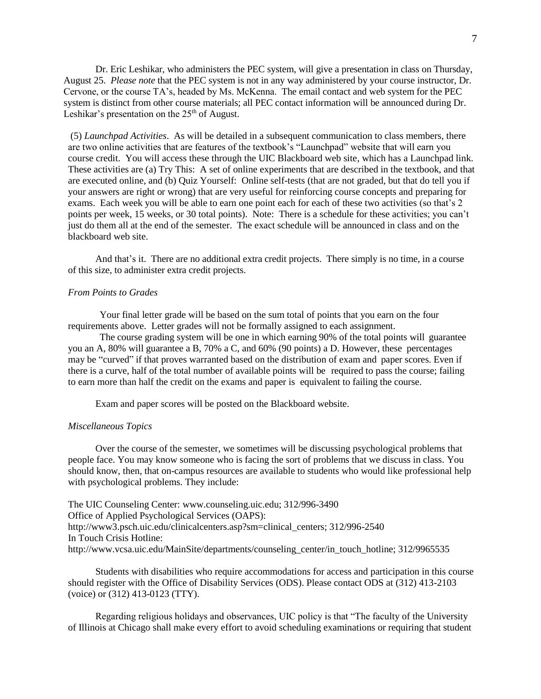Dr. Eric Leshikar, who administers the PEC system, will give a presentation in class on Thursday, August 25. *Please note* that the PEC system is not in any way administered by your course instructor, Dr. Cervone, or the course TA's, headed by Ms. McKenna. The email contact and web system for the PEC system is distinct from other course materials; all PEC contact information will be announced during Dr. Leshikar's presentation on the  $25<sup>th</sup>$  of August.

(5) *Launchpad Activities*. As will be detailed in a subsequent communication to class members, there are two online activities that are features of the textbook's "Launchpad" website that will earn you course credit. You will access these through the UIC Blackboard web site, which has a Launchpad link. These activities are (a) Try This: A set of online experiments that are described in the textbook, and that are executed online, and (b) Quiz Yourself: Online self-tests (that are not graded, but that do tell you if your answers are right or wrong) that are very useful for reinforcing course concepts and preparing for exams. Each week you will be able to earn one point each for each of these two activities (so that's 2 points per week, 15 weeks, or 30 total points). Note: There is a schedule for these activities; you can't just do them all at the end of the semester. The exact schedule will be announced in class and on the blackboard web site.

And that's it. There are no additional extra credit projects. There simply is no time, in a course of this size, to administer extra credit projects.

## *From Points to Grades*

Your final letter grade will be based on the sum total of points that you earn on the four requirements above. Letter grades will not be formally assigned to each assignment.

The course grading system will be one in which earning 90% of the total points will guarantee you an A, 80% will guarantee a B, 70% a C, and 60% (90 points) a D. However, these percentages may be "curved" if that proves warranted based on the distribution of exam and paper scores. Even if there is a curve, half of the total number of available points will be required to pass the course; failing to earn more than half the credit on the exams and paper is equivalent to failing the course.

Exam and paper scores will be posted on the Blackboard website.

### *Miscellaneous Topics*

Over the course of the semester, we sometimes will be discussing psychological problems that people face. You may know someone who is facing the sort of problems that we discuss in class. You should know, then, that on-campus resources are available to students who would like professional help with psychological problems. They include:

The UIC Counseling Center: www.counseling.uic.edu; 312/996-3490 Office of Applied Psychological Services (OAPS): http://www3.psch.uic.edu/clinicalcenters.asp?sm=clinical\_centers; 312/996-2540 In Touch Crisis Hotline: http://www.vcsa.uic.edu/MainSite/departments/counseling\_center/in\_touch\_hotline; 312/9965535

Students with disabilities who require accommodations for access and participation in this course should register with the Office of Disability Services (ODS). Please contact ODS at (312) 413-2103 (voice) or (312) 413-0123 (TTY).

Regarding religious holidays and observances, UIC policy is that "The faculty of the University of Illinois at Chicago shall make every effort to avoid scheduling examinations or requiring that student